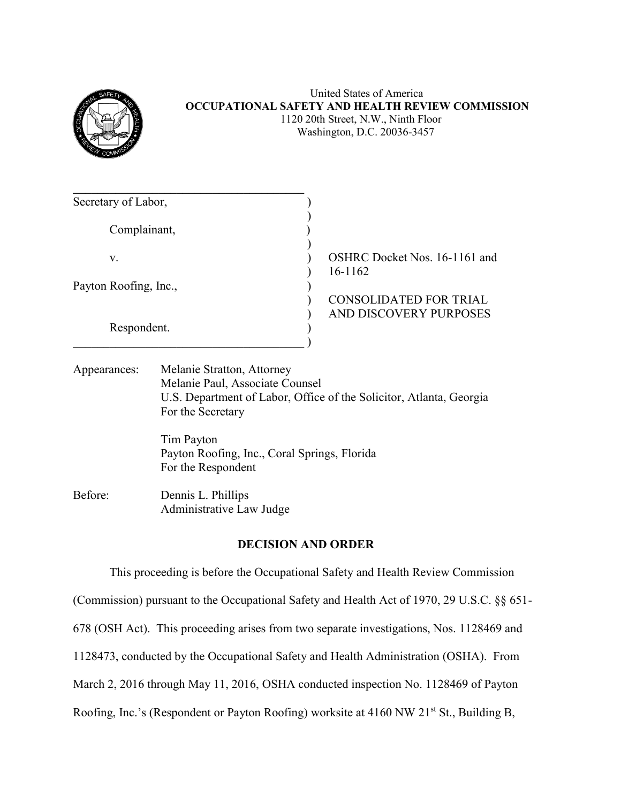

## United States of America **OCCUPATIONAL SAFETY AND HEALTH REVIEW COMMISSION** 1120 20th Street, N.W., Ninth Floor Washington, D.C. 20036-3457

| Secretary of Labor,   |                               |
|-----------------------|-------------------------------|
|                       |                               |
| Complainant,          |                               |
|                       |                               |
| V.                    | OSHRC Docket Nos. 16-1161 and |
|                       | 16-1162                       |
| Payton Roofing, Inc., |                               |
|                       | <b>CONSOLIDATED FOR TRIAL</b> |
|                       | AND DISCOVERY PURPOSES        |
| Respondent.           |                               |
|                       |                               |

| Appearances: | Melanie Stratton, Attorney                                          |
|--------------|---------------------------------------------------------------------|
|              | Melanie Paul, Associate Counsel                                     |
|              | U.S. Department of Labor, Office of the Solicitor, Atlanta, Georgia |
|              | For the Secretary                                                   |

Tim Payton Payton Roofing, Inc., Coral Springs, Florida For the Respondent

Before: Dennis L. Phillips Administrative Law Judge

# **DECISION AND ORDER**

This proceeding is before the Occupational Safety and Health Review Commission (Commission) pursuant to the Occupational Safety and Health Act of 1970, 29 U.S.C. §§ 651- 678 (OSH Act). This proceeding arises from two separate investigations, Nos. 1128469 and 1128473, conducted by the Occupational Safety and Health Administration (OSHA). From March 2, 2016 through May 11, 2016, OSHA conducted inspection No. 1128469 of Payton Roofing, Inc.'s (Respondent or Payton Roofing) worksite at 4160 NW 21<sup>st</sup> St., Building B,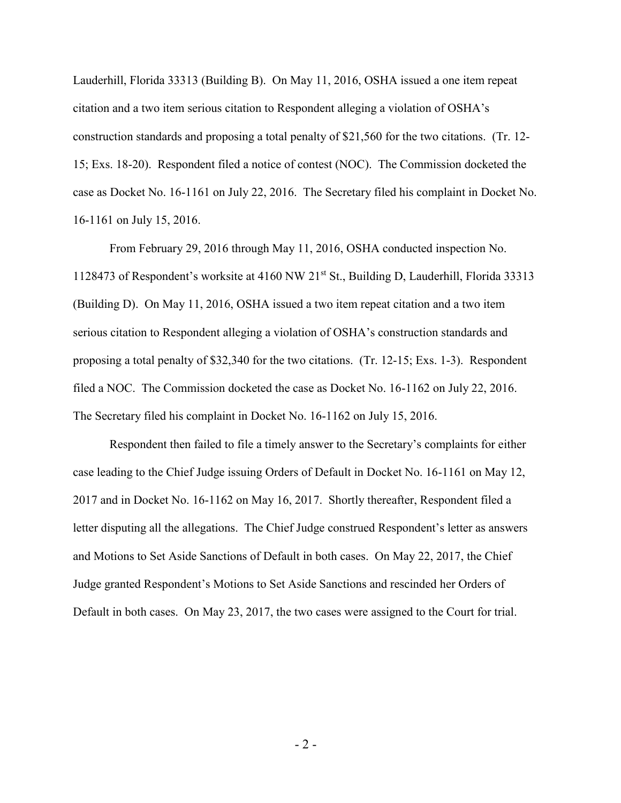Lauderhill, Florida 33313 (Building B). On May 11, 2016, OSHA issued a one item repeat citation and a two item serious citation to Respondent alleging a violation of OSHA's construction standards and proposing a total penalty of \$21,560 for the two citations. (Tr. 12- 15; Exs. 18-20). Respondent filed a notice of contest (NOC). The Commission docketed the case as Docket No. 16-1161 on July 22, 2016. The Secretary filed his complaint in Docket No. 16-1161 on July 15, 2016.

From February 29, 2016 through May 11, 2016, OSHA conducted inspection No. 1128473 of Respondent's worksite at 4160 NW 21st St., Building D, Lauderhill, Florida 33313 (Building D). On May 11, 2016, OSHA issued a two item repeat citation and a two item serious citation to Respondent alleging a violation of OSHA's construction standards and proposing a total penalty of \$32,340 for the two citations. (Tr. 12-15; Exs. 1-3). Respondent filed a NOC. The Commission docketed the case as Docket No. 16-1162 on July 22, 2016. The Secretary filed his complaint in Docket No. 16-1162 on July 15, 2016.

Respondent then failed to file a timely answer to the Secretary's complaints for either case leading to the Chief Judge issuing Orders of Default in Docket No. 16-1161 on May 12, 2017 and in Docket No. 16-1162 on May 16, 2017. Shortly thereafter, Respondent filed a letter disputing all the allegations. The Chief Judge construed Respondent's letter as answers and Motions to Set Aside Sanctions of Default in both cases. On May 22, 2017, the Chief Judge granted Respondent's Motions to Set Aside Sanctions and rescinded her Orders of Default in both cases. On May 23, 2017, the two cases were assigned to the Court for trial.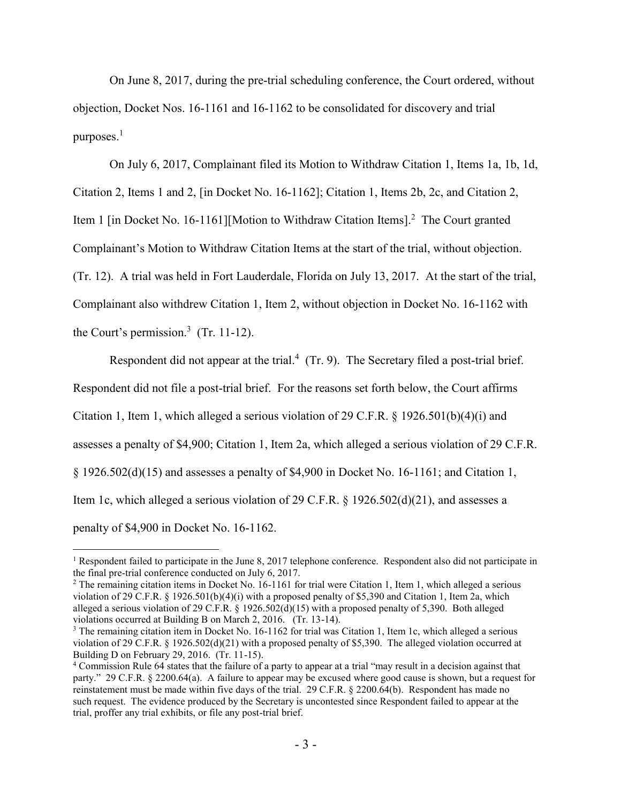On June 8, 2017, during the pre-trial scheduling conference, the Court ordered, without objection, Docket Nos. 16-1161 and 16-1162 to be consolidated for discovery and trial purposes.<sup>1</sup>

On July 6, 2017, Complainant filed its Motion to Withdraw Citation 1, Items 1a, 1b, 1d, Citation 2, Items 1 and 2, [in Docket No. 16-1162]; Citation 1, Items 2b, 2c, and Citation 2, Item 1 [in Docket No. 16-1161][Motion to Withdraw Citation Items].<sup>2</sup> The Court granted Complainant's Motion to Withdraw Citation Items at the start of the trial, without objection. (Tr. 12). A trial was held in Fort Lauderdale, Florida on July 13, 2017. At the start of the trial, Complainant also withdrew Citation 1, Item 2, without objection in Docket No. 16-1162 with the Court's permission. 3 (Tr. 11-12).

Respondent did not appear at the trial.<sup>4</sup> (Tr. 9). The Secretary filed a post-trial brief. Respondent did not file a post-trial brief. For the reasons set forth below, the Court affirms Citation 1, Item 1, which alleged a serious violation of 29 C.F.R. § 1926.501(b)(4)(i) and assesses a penalty of \$4,900; Citation 1, Item 2a, which alleged a serious violation of 29 C.F.R. § 1926.502(d)(15) and assesses a penalty of \$4,900 in Docket No. 16-1161; and Citation 1, Item 1c, which alleged a serious violation of 29 C.F.R. § 1926.502(d)(21), and assesses a penalty of \$4,900 in Docket No. 16-1162.

<sup>&</sup>lt;sup>1</sup> Respondent failed to participate in the June 8, 2017 telephone conference. Respondent also did not participate in the final pre-trial conference conducted on July 6, 2017.

<sup>&</sup>lt;sup>2</sup> The remaining citation items in Docket No. 16-1161 for trial were Citation 1, Item 1, which alleged a serious violation of 29 C.F.R. § 1926.501(b)(4)(i) with a proposed penalty of \$5,390 and Citation 1, Item 2a, which alleged a serious violation of 29 C.F.R. § 1926.502(d)(15) with a proposed penalty of 5,390. Both alleged violations occurred at Building B on March 2, 2016. (Tr. 13-14).

<sup>&</sup>lt;sup>3</sup> The remaining citation item in Docket No. 16-1162 for trial was Citation 1, Item 1c, which alleged a serious violation of 29 C.F.R. § 1926.502(d)(21) with a proposed penalty of \$5,390. The alleged violation occurred at Building D on February 29, 2016. (Tr. 11-15).

<sup>4</sup> Commission Rule 64 states that the failure of a party to appear at a trial "may result in a decision against that party." 29 C.F.R. § 2200.64(a). A failure to appear may be excused where good cause is shown, but a request for reinstatement must be made within five days of the trial. 29 C.F.R. § 2200.64(b). Respondent has made no such request. The evidence produced by the Secretary is uncontested since Respondent failed to appear at the trial, proffer any trial exhibits, or file any post-trial brief.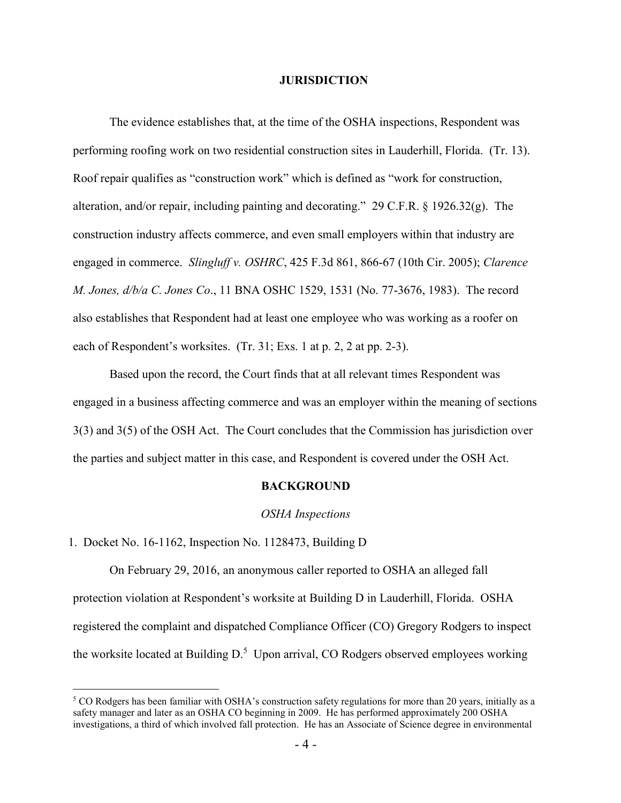#### **JURISDICTION**

The evidence establishes that, at the time of the OSHA inspections, Respondent was performing roofing work on two residential construction sites in Lauderhill, Florida. (Tr. 13). Roof repair qualifies as "construction work" which is defined as "work for construction, alteration, and/or repair, including painting and decorating." 29 C.F.R. § 1926.32(g). The construction industry affects commerce, and even small employers within that industry are engaged in commerce. *Slingluff v. OSHRC*, 425 F.3d 861, 866-67 (10th Cir. 2005); *Clarence M. Jones, d/b/a C. Jones Co*., 11 BNA OSHC 1529, 1531 (No. 77-3676, 1983). The record also establishes that Respondent had at least one employee who was working as a roofer on each of Respondent's worksites. (Tr. 31; Exs. 1 at p. 2, 2 at pp. 2-3).

Based upon the record, the Court finds that at all relevant times Respondent was engaged in a business affecting commerce and was an employer within the meaning of sections 3(3) and 3(5) of the OSH Act. The Court concludes that the Commission has jurisdiction over the parties and subject matter in this case, and Respondent is covered under the OSH Act.

### **BACKGROUND**

#### *OSHA Inspections*

#### 1. Docket No. 16-1162, Inspection No. 1128473, Building D

 $\overline{a}$ 

On February 29, 2016, an anonymous caller reported to OSHA an alleged fall protection violation at Respondent's worksite at Building D in Lauderhill, Florida. OSHA registered the complaint and dispatched Compliance Officer (CO) Gregory Rodgers to inspect the worksite located at Building D.<sup>5</sup> Upon arrival, CO Rodgers observed employees working

<sup>5</sup> CO Rodgers has been familiar with OSHA's construction safety regulations for more than 20 years, initially as a safety manager and later as an OSHA CO beginning in 2009. He has performed approximately 200 OSHA investigations, a third of which involved fall protection. He has an Associate of Science degree in environmental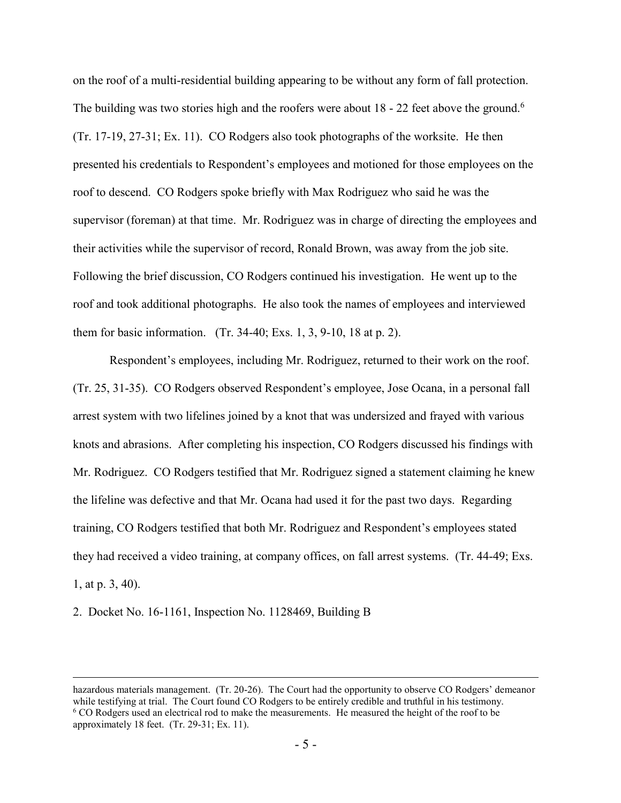on the roof of a multi-residential building appearing to be without any form of fall protection. The building was two stories high and the roofers were about  $18 - 22$  feet above the ground.<sup>6</sup> (Tr. 17-19, 27-31; Ex. 11). CO Rodgers also took photographs of the worksite. He then presented his credentials to Respondent's employees and motioned for those employees on the roof to descend. CO Rodgers spoke briefly with Max Rodriguez who said he was the supervisor (foreman) at that time. Mr. Rodriguez was in charge of directing the employees and their activities while the supervisor of record, Ronald Brown, was away from the job site. Following the brief discussion, CO Rodgers continued his investigation. He went up to the roof and took additional photographs. He also took the names of employees and interviewed them for basic information. (Tr. 34-40; Exs. 1, 3, 9-10, 18 at p. 2).

Respondent's employees, including Mr. Rodriguez, returned to their work on the roof. (Tr. 25, 31-35). CO Rodgers observed Respondent's employee, Jose Ocana, in a personal fall arrest system with two lifelines joined by a knot that was undersized and frayed with various knots and abrasions. After completing his inspection, CO Rodgers discussed his findings with Mr. Rodriguez. CO Rodgers testified that Mr. Rodriguez signed a statement claiming he knew the lifeline was defective and that Mr. Ocana had used it for the past two days. Regarding training, CO Rodgers testified that both Mr. Rodriguez and Respondent's employees stated they had received a video training, at company offices, on fall arrest systems. (Tr. 44-49; Exs. 1, at p. 3, 40).

2. Docket No. 16-1161, Inspection No. 1128469, Building B

hazardous materials management. (Tr. 20-26). The Court had the opportunity to observe CO Rodgers' demeanor while testifying at trial. The Court found CO Rodgers to be entirely credible and truthful in his testimony. <sup>6</sup> CO Rodgers used an electrical rod to make the measurements. He measured the height of the roof to be approximately 18 feet. (Tr. 29-31; Ex. 11).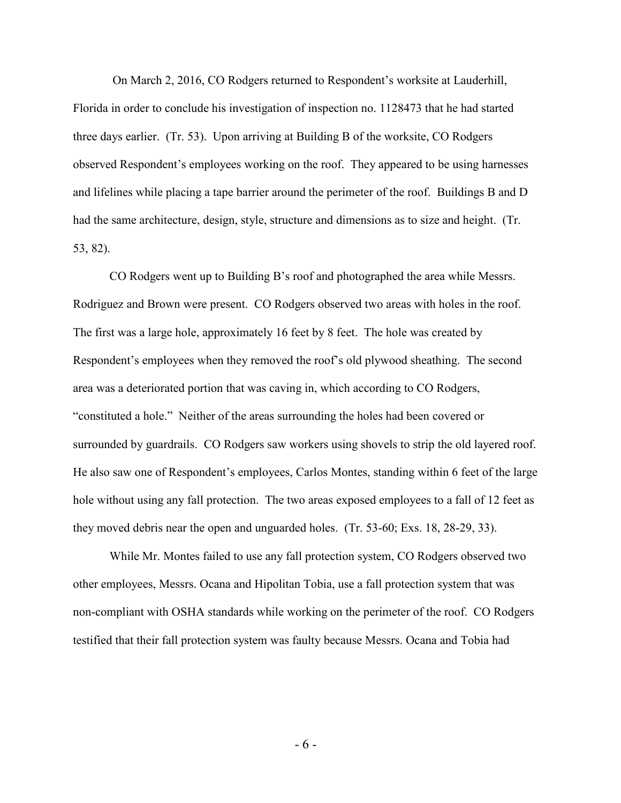On March 2, 2016, CO Rodgers returned to Respondent's worksite at Lauderhill, Florida in order to conclude his investigation of inspection no. 1128473 that he had started three days earlier. (Tr. 53). Upon arriving at Building B of the worksite, CO Rodgers observed Respondent's employees working on the roof. They appeared to be using harnesses and lifelines while placing a tape barrier around the perimeter of the roof. Buildings B and D had the same architecture, design, style, structure and dimensions as to size and height. (Tr. 53, 82).

CO Rodgers went up to Building B's roof and photographed the area while Messrs. Rodriguez and Brown were present. CO Rodgers observed two areas with holes in the roof. The first was a large hole, approximately 16 feet by 8 feet. The hole was created by Respondent's employees when they removed the roof's old plywood sheathing. The second area was a deteriorated portion that was caving in, which according to CO Rodgers, "constituted a hole." Neither of the areas surrounding the holes had been covered or surrounded by guardrails. CO Rodgers saw workers using shovels to strip the old layered roof. He also saw one of Respondent's employees, Carlos Montes, standing within 6 feet of the large hole without using any fall protection. The two areas exposed employees to a fall of 12 feet as they moved debris near the open and unguarded holes. (Tr. 53-60; Exs. 18, 28-29, 33).

While Mr. Montes failed to use any fall protection system, CO Rodgers observed two other employees, Messrs. Ocana and Hipolitan Tobia, use a fall protection system that was non-compliant with OSHA standards while working on the perimeter of the roof. CO Rodgers testified that their fall protection system was faulty because Messrs. Ocana and Tobia had

- 6 -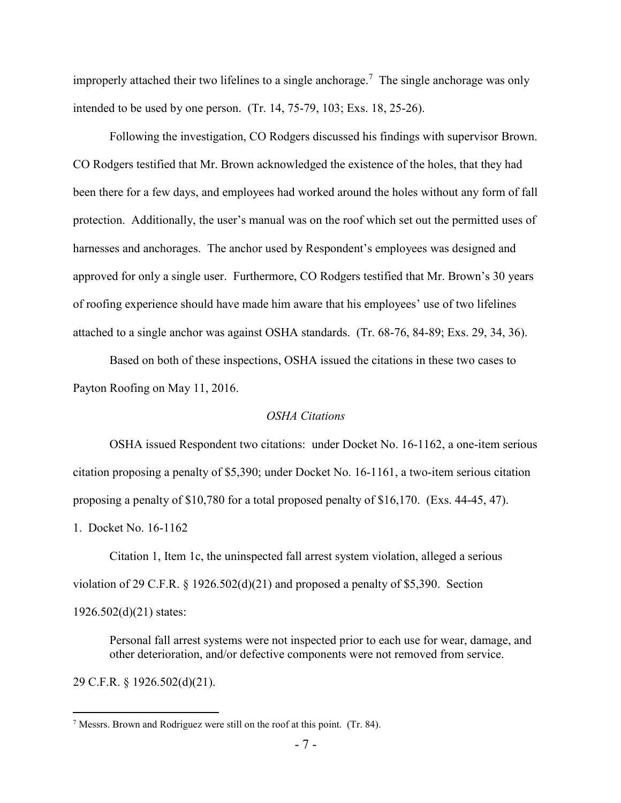improperly attached their two lifelines to a single anchorage.<sup>7</sup> The single anchorage was only intended to be used by one person. (Tr. 14, 75-79, 103; Exs. 18, 25-26).

Following the investigation, CO Rodgers discussed his findings with supervisor Brown. CO Rodgers testified that Mr. Brown acknowledged the existence of the holes, that they had been there for a few days, and employees had worked around the holes without any form of fall protection. Additionally, the user's manual was on the roof which set out the permitted uses of harnesses and anchorages. The anchor used by Respondent's employees was designed and approved for only a single user. Furthermore, CO Rodgers testified that Mr. Brown's 30 years of roofing experience should have made him aware that his employees' use of two lifelines attached to a single anchor was against OSHA standards. (Tr. 68-76, 84-89; Exs. 29, 34, 36).

Based on both of these inspections, OSHA issued the citations in these two cases to Payton Roofing on May 11, 2016.

## *OSHA Citations*

OSHA issued Respondent two citations: under Docket No. 16-1162, a one-item serious citation proposing a penalty of \$5,390; under Docket No. 16-1161, a two-item serious citation proposing a penalty of \$10,780 for a total proposed penalty of \$16,170. (Exs. 44-45, 47).

1. Docket No. 16-1162

Citation 1, Item 1c, the uninspected fall arrest system violation, alleged a serious violation of 29 C.F.R. § 1926.502(d)(21) and proposed a penalty of \$5,390. Section 1926.502(d)(21) states:

Personal fall arrest systems were not inspected prior to each use for wear, damage, and other deterioration, and/or defective components were not removed from service.

29 C.F.R. § 1926.502(d)(21).

<sup>7</sup> Messrs. Brown and Rodriguez were still on the roof at this point. (Tr. 84).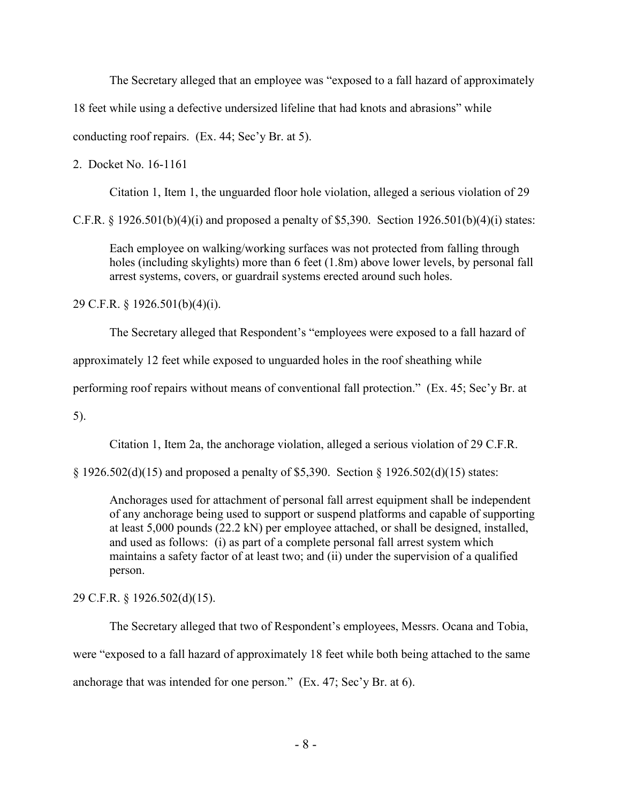The Secretary alleged that an employee was "exposed to a fall hazard of approximately

18 feet while using a defective undersized lifeline that had knots and abrasions" while

conducting roof repairs. (Ex. 44; Sec'y Br. at 5).

2. Docket No. 16-1161

Citation 1, Item 1, the unguarded floor hole violation, alleged a serious violation of 29

C.F.R. § 1926.501(b)(4)(i) and proposed a penalty of \$5,390. Section 1926.501(b)(4)(i) states:

Each employee on walking/working surfaces was not protected from falling through holes (including skylights) more than 6 feet (1.8m) above lower levels, by personal fall arrest systems, covers, or guardrail systems erected around such holes.

29 C.F.R. § 1926.501(b)(4)(i).

The Secretary alleged that Respondent's "employees were exposed to a fall hazard of

approximately 12 feet while exposed to unguarded holes in the roof sheathing while

performing roof repairs without means of conventional fall protection." (Ex. 45; Sec'y Br. at

5).

Citation 1, Item 2a, the anchorage violation, alleged a serious violation of 29 C.F.R.

§ 1926.502(d)(15) and proposed a penalty of \$5,390. Section § 1926.502(d)(15) states:

Anchorages used for attachment of personal fall arrest equipment shall be independent of any anchorage being used to support or suspend platforms and capable of supporting at least 5,000 pounds (22.2 kN) per employee attached, or shall be designed, installed, and used as follows: (i) as part of a complete personal fall arrest system which maintains a safety factor of at least two; and (ii) under the supervision of a qualified person.

29 C.F.R. § 1926.502(d)(15).

The Secretary alleged that two of Respondent's employees, Messrs. Ocana and Tobia, were "exposed to a fall hazard of approximately 18 feet while both being attached to the same anchorage that was intended for one person." (Ex. 47; Sec'y Br. at 6).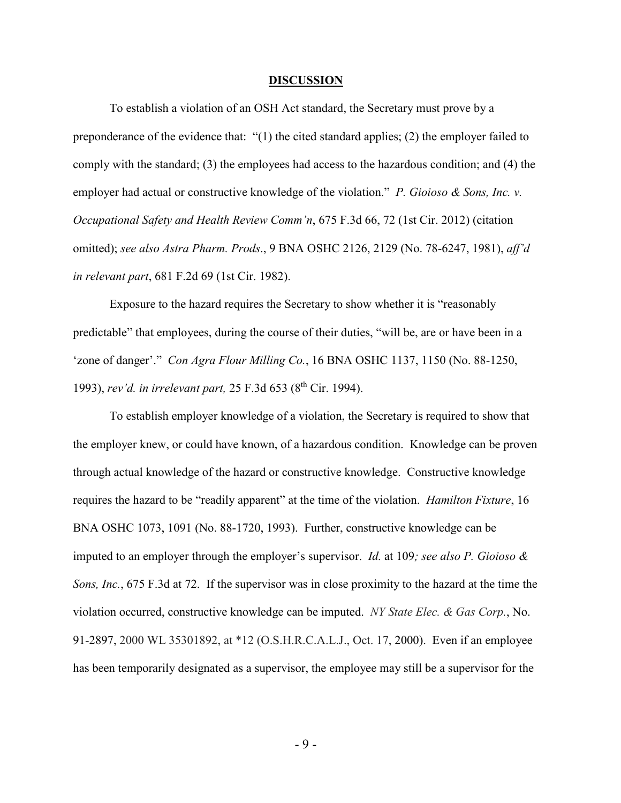#### **DISCUSSION**

To establish a violation of an OSH Act standard, the Secretary must prove by a preponderance of the evidence that: "(1) the cited standard applies; (2) the employer failed to comply with the standard; (3) the employees had access to the hazardous condition; and (4) the employer had actual or constructive knowledge of the violation." *P. Gioioso & Sons, Inc. v. Occupational Safety and Health Review Comm'n*, 675 F.3d 66, 72 (1st Cir. 2012) (citation omitted); *see also Astra Pharm. Prods*., 9 BNA OSHC 2126, 2129 (No. 78-6247, 1981), *aff'd in relevant part*, 681 F.2d 69 (1st Cir. 1982).

Exposure to the hazard requires the Secretary to show whether it is "reasonably predictable" that employees, during the course of their duties, "will be, are or have been in a 'zone of danger'." *Con Agra Flour Milling Co.*, 16 BNA OSHC 1137, 1150 (No. 88-1250, 1993), *rev'd. in irrelevant part,* 25 F.3d 653 (8th Cir. 1994).

To establish employer knowledge of a violation, the Secretary is required to show that the employer knew, or could have known, of a hazardous condition. Knowledge can be proven through actual knowledge of the hazard or constructive knowledge. Constructive knowledge requires the hazard to be "readily apparent" at the time of the violation. *Hamilton Fixture*, 16 BNA OSHC 1073, 1091 (No. 88-1720, 1993). Further, constructive knowledge can be imputed to an employer through the employer's supervisor. *Id.* at 109*; see also P. Gioioso & Sons, Inc.*, 675 F.3d at 72. If the supervisor was in close proximity to the hazard at the time the violation occurred, constructive knowledge can be imputed. *NY State Elec. & Gas Corp.*, No. 91-2897, 2000 WL 35301892, at \*12 (O.S.H.R.C.A.L.J., Oct. 17, 2000). Even if an employee has been temporarily designated as a supervisor, the employee may still be a supervisor for the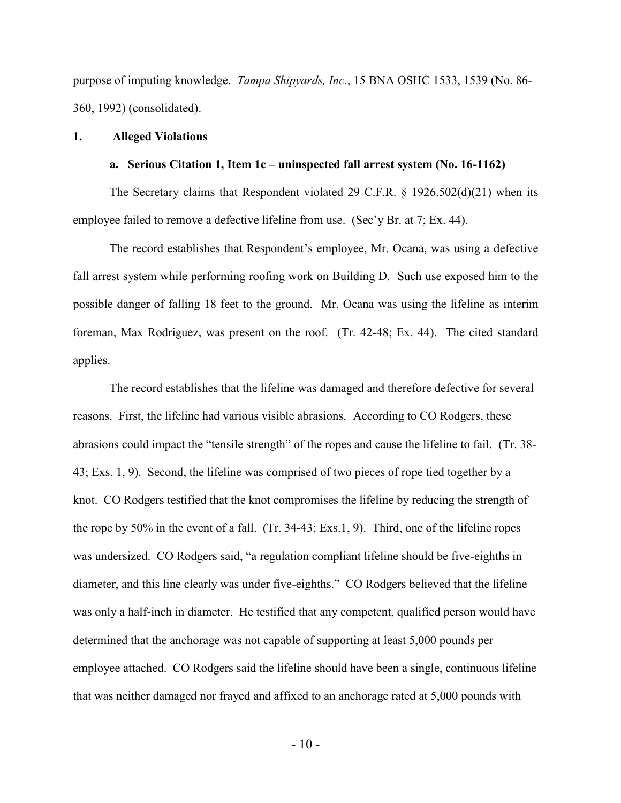purpose of imputing knowledge. *Tampa Shipyards, Inc.*, 15 BNA OSHC 1533, 1539 (No. 86- 360, 1992) (consolidated).

### **1. Alleged Violations**

### **a. Serious Citation 1, Item 1c – uninspected fall arrest system (No. 16-1162)**

The Secretary claims that Respondent violated 29 C.F.R. § 1926.502(d)(21) when its employee failed to remove a defective lifeline from use. (Sec'y Br. at 7; Ex. 44).

The record establishes that Respondent's employee, Mr. Ocana, was using a defective fall arrest system while performing roofing work on Building D. Such use exposed him to the possible danger of falling 18 feet to the ground. Mr. Ocana was using the lifeline as interim foreman, Max Rodriguez, was present on the roof. (Tr. 42-48; Ex. 44). The cited standard applies.

The record establishes that the lifeline was damaged and therefore defective for several reasons. First, the lifeline had various visible abrasions. According to CO Rodgers, these abrasions could impact the "tensile strength" of the ropes and cause the lifeline to fail. (Tr. 38- 43; Exs. 1, 9). Second, the lifeline was comprised of two pieces of rope tied together by a knot. CO Rodgers testified that the knot compromises the lifeline by reducing the strength of the rope by 50% in the event of a fall. (Tr. 34-43; Exs.1, 9). Third, one of the lifeline ropes was undersized. CO Rodgers said, "a regulation compliant lifeline should be five-eighths in diameter, and this line clearly was under five-eighths." CO Rodgers believed that the lifeline was only a half-inch in diameter. He testified that any competent, qualified person would have determined that the anchorage was not capable of supporting at least 5,000 pounds per employee attached. CO Rodgers said the lifeline should have been a single, continuous lifeline that was neither damaged nor frayed and affixed to an anchorage rated at 5,000 pounds with

 $-10-$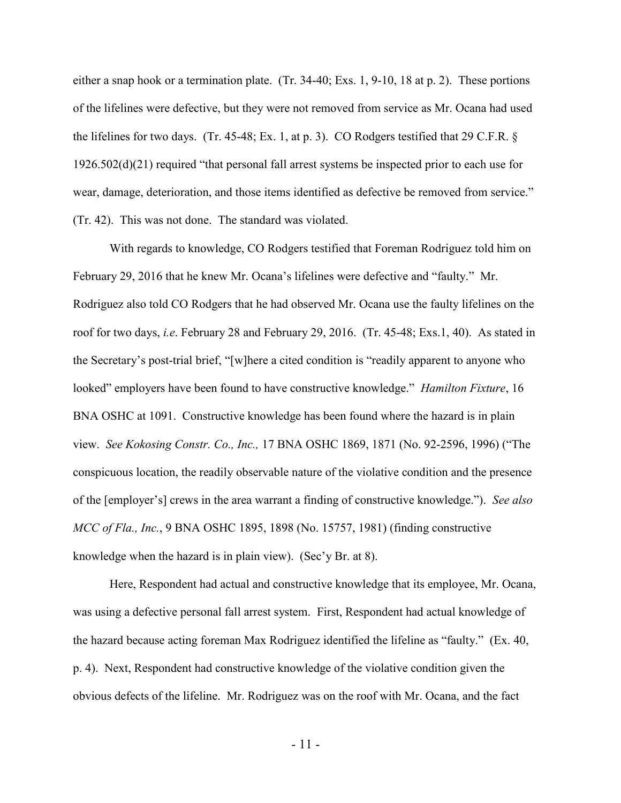either a snap hook or a termination plate. (Tr. 34-40; Exs. 1, 9-10, 18 at p. 2). These portions of the lifelines were defective, but they were not removed from service as Mr. Ocana had used the lifelines for two days. (Tr. 45-48; Ex. 1, at p. 3). CO Rodgers testified that 29 C.F.R. § 1926.502(d)(21) required "that personal fall arrest systems be inspected prior to each use for wear, damage, deterioration, and those items identified as defective be removed from service." (Tr. 42). This was not done. The standard was violated.

With regards to knowledge, CO Rodgers testified that Foreman Rodriguez told him on February 29, 2016 that he knew Mr. Ocana's lifelines were defective and "faulty." Mr. Rodriguez also told CO Rodgers that he had observed Mr. Ocana use the faulty lifelines on the roof for two days, *i.e*. February 28 and February 29, 2016. (Tr. 45-48; Exs.1, 40). As stated in the Secretary's post-trial brief, "[w]here a cited condition is "readily apparent to anyone who looked" employers have been found to have constructive knowledge." *Hamilton Fixture*, 16 BNA OSHC at 1091. Constructive knowledge has been found where the hazard is in plain view. *See Kokosing Constr. Co., Inc.,* 17 BNA OSHC 1869, 1871 (No. 92-2596, 1996) ("The conspicuous location, the readily observable nature of the violative condition and the presence of the [employer's] crews in the area warrant a finding of constructive knowledge."). *See also MCC of Fla., Inc.*, 9 BNA OSHC 1895, 1898 (No. 15757, 1981) (finding constructive knowledge when the hazard is in plain view). (Sec'y Br. at 8).

Here, Respondent had actual and constructive knowledge that its employee, Mr. Ocana, was using a defective personal fall arrest system. First, Respondent had actual knowledge of the hazard because acting foreman Max Rodriguez identified the lifeline as "faulty." (Ex. 40, p. 4). Next, Respondent had constructive knowledge of the violative condition given the obvious defects of the lifeline. Mr. Rodriguez was on the roof with Mr. Ocana, and the fact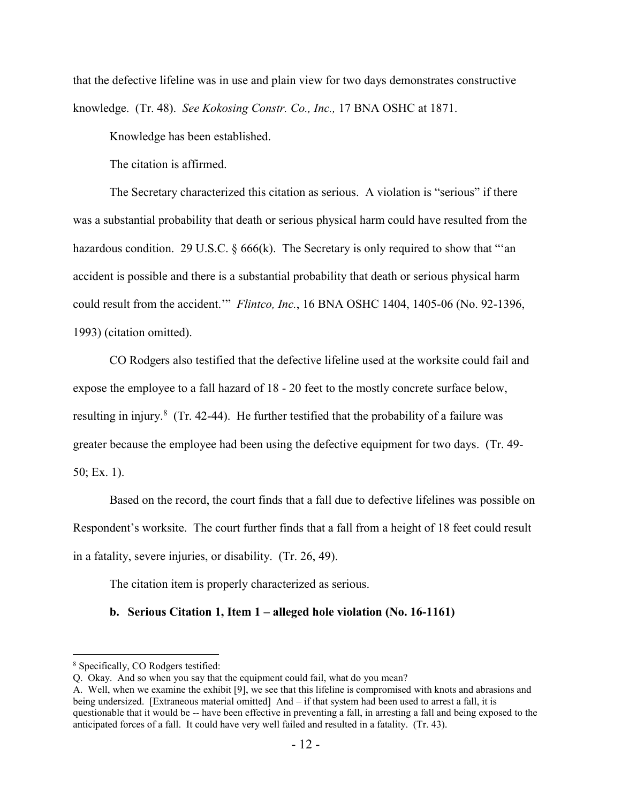that the defective lifeline was in use and plain view for two days demonstrates constructive knowledge. (Tr. 48). *See Kokosing Constr. Co., Inc.,* 17 BNA OSHC at 1871.

Knowledge has been established.

The citation is affirmed.

The Secretary characterized this citation as serious. A violation is "serious" if there was a substantial probability that death or serious physical harm could have resulted from the hazardous condition. 29 U.S.C.  $\S 666(k)$ . The Secretary is only required to show that "'an accident is possible and there is a substantial probability that death or serious physical harm could result from the accident.'" *Flintco, Inc.*, 16 BNA OSHC 1404, 1405-06 (No. 92-1396, 1993) (citation omitted).

CO Rodgers also testified that the defective lifeline used at the worksite could fail and expose the employee to a fall hazard of 18 - 20 feet to the mostly concrete surface below, resulting in injury.<sup>8</sup> (Tr. 42-44). He further testified that the probability of a failure was greater because the employee had been using the defective equipment for two days. (Tr. 49- 50; Ex. 1).

Based on the record, the court finds that a fall due to defective lifelines was possible on Respondent's worksite. The court further finds that a fall from a height of 18 feet could result in a fatality, severe injuries, or disability. (Tr. 26, 49).

The citation item is properly characterized as serious.

## **b. Serious Citation 1, Item 1 – alleged hole violation (No. 16-1161)**

<sup>8</sup> Specifically, CO Rodgers testified:

Q. Okay. And so when you say that the equipment could fail, what do you mean?

A. Well, when we examine the exhibit [9], we see that this lifeline is compromised with knots and abrasions and being undersized. [Extraneous material omitted] And – if that system had been used to arrest a fall, it is questionable that it would be -- have been effective in preventing a fall, in arresting a fall and being exposed to the anticipated forces of a fall. It could have very well failed and resulted in a fatality. (Tr. 43).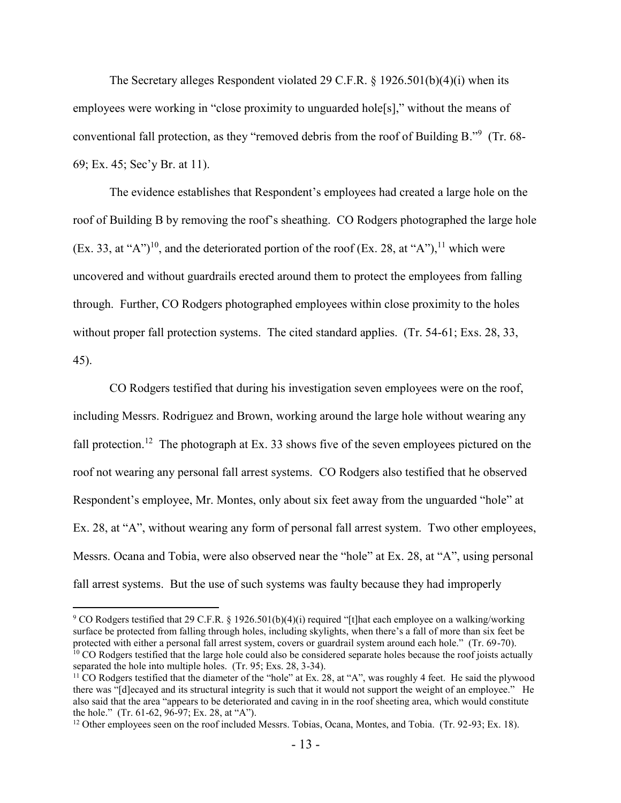The Secretary alleges Respondent violated 29 C.F.R.  $\S$  1926.501(b)(4)(i) when its employees were working in "close proximity to unguarded hole[s]," without the means of conventional fall protection, as they "removed debris from the roof of Building B."<sup>9</sup> (Tr. 68-69; Ex. 45; Sec'y Br. at 11).

The evidence establishes that Respondent's employees had created a large hole on the roof of Building B by removing the roof's sheathing. CO Rodgers photographed the large hole (Ex. 33, at "A")<sup>10</sup>, and the deteriorated portion of the roof (Ex. 28, at "A"),<sup>11</sup> which were uncovered and without guardrails erected around them to protect the employees from falling through. Further, CO Rodgers photographed employees within close proximity to the holes without proper fall protection systems. The cited standard applies. (Tr. 54-61; Exs. 28, 33, 45).

CO Rodgers testified that during his investigation seven employees were on the roof, including Messrs. Rodriguez and Brown, working around the large hole without wearing any fall protection.<sup>12</sup> The photograph at Ex. 33 shows five of the seven employees pictured on the roof not wearing any personal fall arrest systems. CO Rodgers also testified that he observed Respondent's employee, Mr. Montes, only about six feet away from the unguarded "hole" at Ex. 28, at "A", without wearing any form of personal fall arrest system. Two other employees, Messrs. Ocana and Tobia, were also observed near the "hole" at Ex. 28, at "A", using personal fall arrest systems. But the use of such systems was faulty because they had improperly

<sup>&</sup>lt;sup>9</sup> CO Rodgers testified that 29 C.F.R. § 1926.501(b)(4)(i) required "[t]hat each employee on a walking/working surface be protected from falling through holes, including skylights, when there's a fall of more than six feet be protected with either a personal fall arrest system, covers or guardrail system around each hole." (Tr. 69-70).  $10$  CO Rodgers testified that the large hole could also be considered separate holes because the roof joists actually separated the hole into multiple holes. (Tr. 95; Exs. 28, 3-34).

<sup>&</sup>lt;sup>11</sup> CO Rodgers testified that the diameter of the "hole" at Ex. 28, at "A", was roughly 4 feet. He said the plywood there was "[d]ecayed and its structural integrity is such that it would not support the weight of an employee." He also said that the area "appears to be deteriorated and caving in in the roof sheeting area, which would constitute the hole." (Tr. 61-62, 96-97; Ex. 28, at "A").

<sup>&</sup>lt;sup>12</sup> Other employees seen on the roof included Messrs. Tobias, Ocana, Montes, and Tobia. (Tr. 92-93; Ex. 18).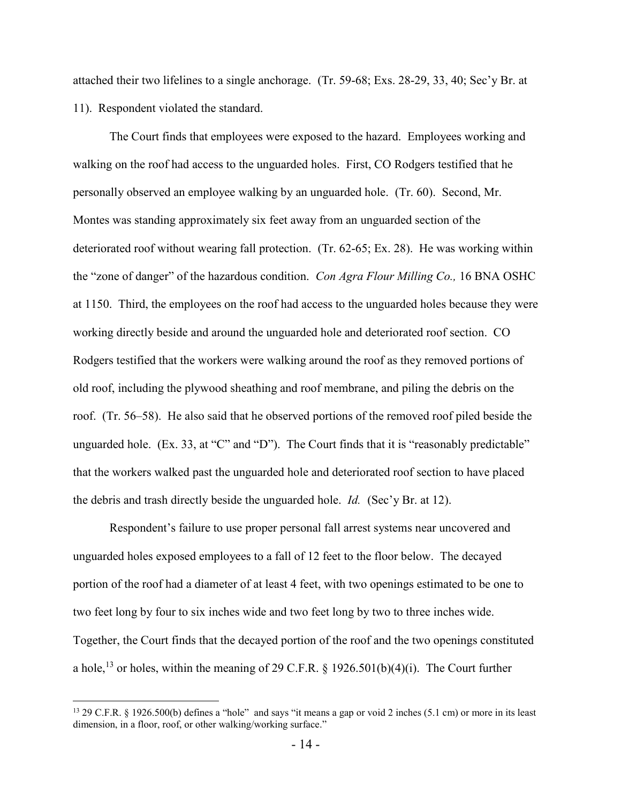attached their two lifelines to a single anchorage. (Tr. 59-68; Exs. 28-29, 33, 40; Sec'y Br. at 11). Respondent violated the standard.

The Court finds that employees were exposed to the hazard. Employees working and walking on the roof had access to the unguarded holes. First, CO Rodgers testified that he personally observed an employee walking by an unguarded hole. (Tr. 60). Second, Mr. Montes was standing approximately six feet away from an unguarded section of the deteriorated roof without wearing fall protection. (Tr. 62-65; Ex. 28). He was working within the "zone of danger" of the hazardous condition. *Con Agra Flour Milling Co.,* 16 BNA OSHC at 1150. Third, the employees on the roof had access to the unguarded holes because they were working directly beside and around the unguarded hole and deteriorated roof section. CO Rodgers testified that the workers were walking around the roof as they removed portions of old roof, including the plywood sheathing and roof membrane, and piling the debris on the roof. (Tr. 56–58). He also said that he observed portions of the removed roof piled beside the unguarded hole. (Ex. 33, at "C" and "D"). The Court finds that it is "reasonably predictable" that the workers walked past the unguarded hole and deteriorated roof section to have placed the debris and trash directly beside the unguarded hole. *Id.* (Sec'y Br. at 12).

Respondent's failure to use proper personal fall arrest systems near uncovered and unguarded holes exposed employees to a fall of 12 feet to the floor below. The decayed portion of the roof had a diameter of at least 4 feet, with two openings estimated to be one to two feet long by four to six inches wide and two feet long by two to three inches wide. Together, the Court finds that the decayed portion of the roof and the two openings constituted a hole,<sup>13</sup> or holes, within the meaning of 29 C.F.R. § 1926.501(b)(4)(i). The Court further

<sup>&</sup>lt;sup>13</sup> 29 C.F.R. § 1926.500(b) defines a "hole" and says "it means a gap or void 2 inches (5.1 cm) or more in its least dimension, in a floor, roof, or other walking/working surface."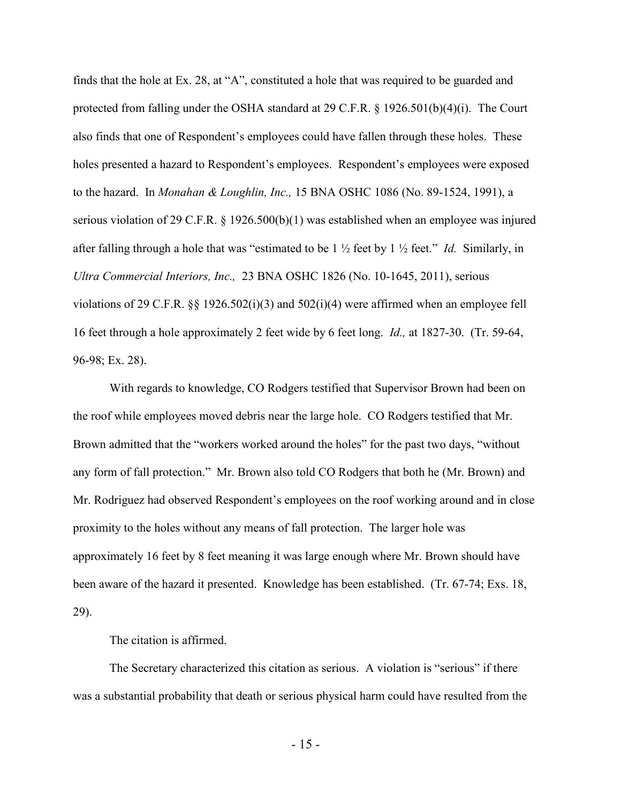finds that the hole at Ex. 28, at "A", constituted a hole that was required to be guarded and protected from falling under the OSHA standard at 29 C.F.R. § 1926.501(b)(4)(i). The Court also finds that one of Respondent's employees could have fallen through these holes. These holes presented a hazard to Respondent's employees. Respondent's employees were exposed to the hazard. In *Monahan & Loughlin, Inc.,* 15 BNA OSHC 1086 (No. 89-1524, 1991), a serious violation of 29 C.F.R. § 1926.500(b)(1) was established when an employee was injured after falling through a hole that was "estimated to be  $1 \frac{1}{2}$  feet by  $1 \frac{1}{2}$  feet." *Id.* Similarly, in *Ultra Commercial Interiors, Inc.,* 23 BNA OSHC 1826 (No. 10-1645, 2011), serious violations of 29 C.F.R. §§ 1926.502(i)(3) and 502(i)(4) were affirmed when an employee fell 16 feet through a hole approximately 2 feet wide by 6 feet long. *Id.,* at 1827-30. (Tr. 59-64, 96-98; Ex. 28).

With regards to knowledge, CO Rodgers testified that Supervisor Brown had been on the roof while employees moved debris near the large hole. CO Rodgers testified that Mr. Brown admitted that the "workers worked around the holes" for the past two days, "without any form of fall protection." Mr. Brown also told CO Rodgers that both he (Mr. Brown) and Mr. Rodriguez had observed Respondent's employees on the roof working around and in close proximity to the holes without any means of fall protection. The larger hole was approximately 16 feet by 8 feet meaning it was large enough where Mr. Brown should have been aware of the hazard it presented. Knowledge has been established. (Tr. 67-74; Exs. 18, 29).

The citation is affirmed.

The Secretary characterized this citation as serious. A violation is "serious" if there was a substantial probability that death or serious physical harm could have resulted from the

 $-15 -$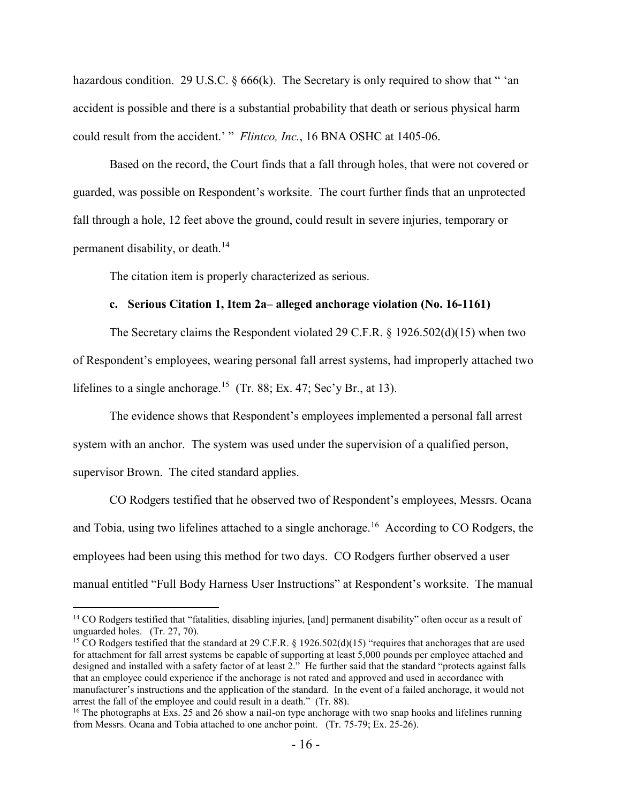hazardous condition. 29 U.S.C.  $\S 666(k)$ . The Secretary is only required to show that " 'an accident is possible and there is a substantial probability that death or serious physical harm could result from the accident.' " *Flintco, Inc.*, 16 BNA OSHC at 1405-06.

Based on the record, the Court finds that a fall through holes, that were not covered or guarded, was possible on Respondent's worksite. The court further finds that an unprotected fall through a hole, 12 feet above the ground, could result in severe injuries, temporary or permanent disability, or death.<sup>14</sup>

The citation item is properly characterized as serious.

## **c. Serious Citation 1, Item 2a– alleged anchorage violation (No. 16-1161)**

The Secretary claims the Respondent violated 29 C.F.R. § 1926.502(d)(15) when two of Respondent's employees, wearing personal fall arrest systems, had improperly attached two lifelines to a single anchorage.<sup>15</sup> (Tr. 88; Ex. 47; Sec'y Br., at 13).

The evidence shows that Respondent's employees implemented a personal fall arrest system with an anchor. The system was used under the supervision of a qualified person, supervisor Brown. The cited standard applies.

CO Rodgers testified that he observed two of Respondent's employees, Messrs. Ocana and Tobia, using two lifelines attached to a single anchorage.<sup>16</sup> According to CO Rodgers, the employees had been using this method for two days. CO Rodgers further observed a user manual entitled "Full Body Harness User Instructions" at Respondent's worksite. The manual

<sup>&</sup>lt;sup>14</sup> CO Rodgers testified that "fatalities, disabling injuries, [and] permanent disability" often occur as a result of unguarded holes. (Tr. 27, 70).

<sup>&</sup>lt;sup>15</sup> CO Rodgers testified that the standard at 29 C.F.R. § 1926.502(d)(15) "requires that anchorages that are used for attachment for fall arrest systems be capable of supporting at least 5,000 pounds per employee attached and designed and installed with a safety factor of at least 2." He further said that the standard "protects against falls that an employee could experience if the anchorage is not rated and approved and used in accordance with manufacturer's instructions and the application of the standard. In the event of a failed anchorage, it would not arrest the fall of the employee and could result in a death." (Tr. 88).

<sup>&</sup>lt;sup>16</sup> The photographs at Exs. 25 and 26 show a nail-on type anchorage with two snap hooks and lifelines running from Messrs. Ocana and Tobia attached to one anchor point. (Tr. 75-79; Ex. 25-26).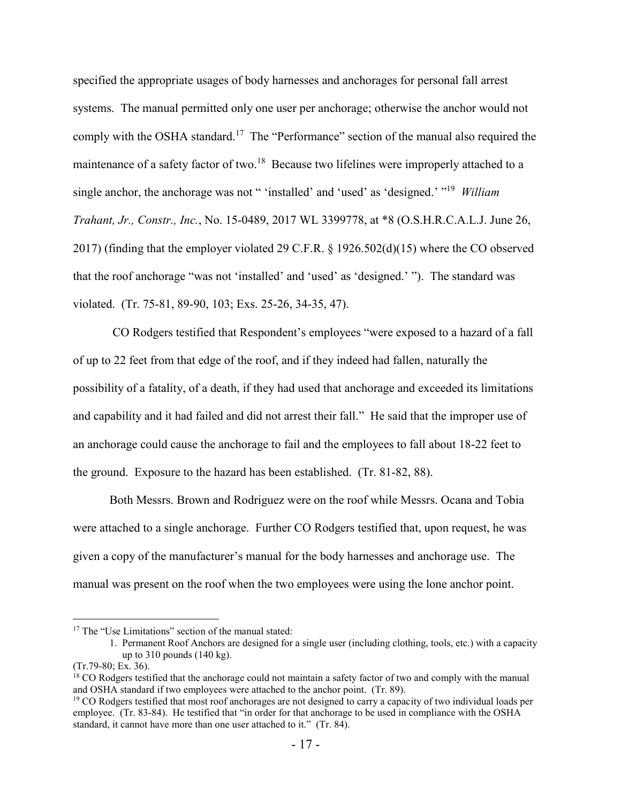specified the appropriate usages of body harnesses and anchorages for personal fall arrest systems. The manual permitted only one user per anchorage; otherwise the anchor would not comply with the OSHA standard.<sup>17</sup> The "Performance" section of the manual also required the maintenance of a safety factor of two.<sup>18</sup> Because two lifelines were improperly attached to a single anchor, the anchorage was not " 'installed' and 'used' as 'designed.' " <sup>19</sup> *William Trahant, Jr., Constr., Inc.*, No. 15-0489, 2017 WL 3399778, at \*8 (O.S.H.R.C.A.L.J. June 26, 2017) (finding that the employer violated 29 C.F.R. § 1926.502(d)(15) where the CO observed that the roof anchorage "was not 'installed' and 'used' as 'designed.' "). The standard was violated. (Tr. 75-81, 89-90, 103; Exs. 25-26, 34-35, 47).

CO Rodgers testified that Respondent's employees "were exposed to a hazard of a fall of up to 22 feet from that edge of the roof, and if they indeed had fallen, naturally the possibility of a fatality, of a death, if they had used that anchorage and exceeded its limitations and capability and it had failed and did not arrest their fall." He said that the improper use of an anchorage could cause the anchorage to fail and the employees to fall about 18-22 feet to the ground. Exposure to the hazard has been established. (Tr. 81-82, 88).

Both Messrs. Brown and Rodriguez were on the roof while Messrs. Ocana and Tobia were attached to a single anchorage. Further CO Rodgers testified that, upon request, he was given a copy of the manufacturer's manual for the body harnesses and anchorage use. The manual was present on the roof when the two employees were using the lone anchor point.

<sup>&</sup>lt;sup>17</sup> The "Use Limitations" section of the manual stated:

<sup>1.</sup> Permanent Roof Anchors are designed for a single user (including clothing, tools, etc.) with a capacity up to 310 pounds (140 kg).

<sup>(</sup>Tr.79-80; Ex. 36).

 $18$  CO Rodgers testified that the anchorage could not maintain a safety factor of two and comply with the manual and OSHA standard if two employees were attached to the anchor point. (Tr. 89).

<sup>&</sup>lt;sup>19</sup> CO Rodgers testified that most roof anchorages are not designed to carry a capacity of two individual loads per employee. (Tr. 83-84). He testified that "in order for that anchorage to be used in compliance with the OSHA standard, it cannot have more than one user attached to it." (Tr. 84).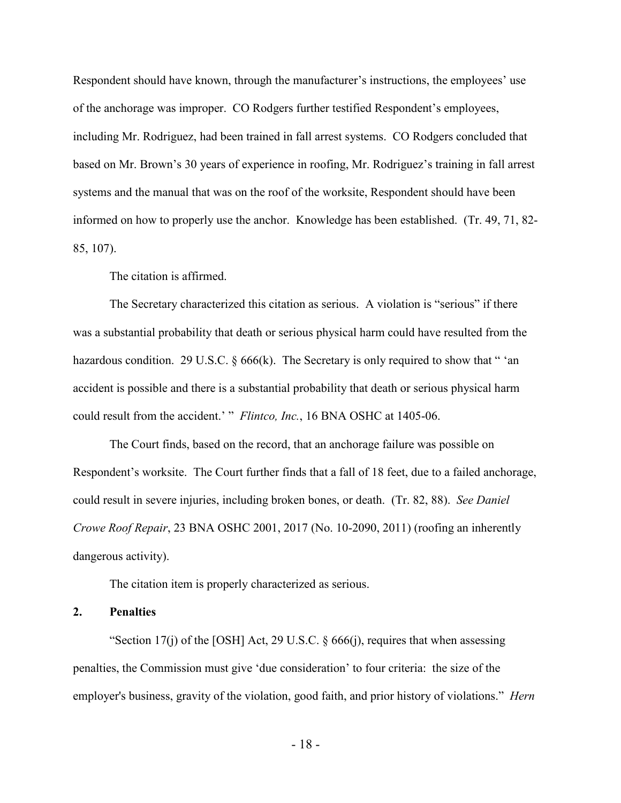Respondent should have known, through the manufacturer's instructions, the employees' use of the anchorage was improper. CO Rodgers further testified Respondent's employees, including Mr. Rodriguez, had been trained in fall arrest systems. CO Rodgers concluded that based on Mr. Brown's 30 years of experience in roofing, Mr. Rodriguez's training in fall arrest systems and the manual that was on the roof of the worksite, Respondent should have been informed on how to properly use the anchor. Knowledge has been established. (Tr. 49, 71, 82- 85, 107).

The citation is affirmed.

The Secretary characterized this citation as serious. A violation is "serious" if there was a substantial probability that death or serious physical harm could have resulted from the hazardous condition. 29 U.S.C. § 666(k). The Secretary is only required to show that "'an accident is possible and there is a substantial probability that death or serious physical harm could result from the accident.' " *Flintco, Inc.*, 16 BNA OSHC at 1405-06.

The Court finds, based on the record, that an anchorage failure was possible on Respondent's worksite. The Court further finds that a fall of 18 feet, due to a failed anchorage, could result in severe injuries, including broken bones, or death. (Tr. 82, 88). *See Daniel Crowe Roof Repair*, 23 BNA OSHC 2001, 2017 (No. 10-2090, 2011) (roofing an inherently dangerous activity).

The citation item is properly characterized as serious.

## **2. Penalties**

"Section 17(j) of the [OSH] Act, 29 U.S.C.  $\S$  666(j), requires that when assessing penalties, the Commission must give 'due consideration' to four criteria: the size of the employer's business, gravity of the violation, good faith, and prior history of violations." *Hern*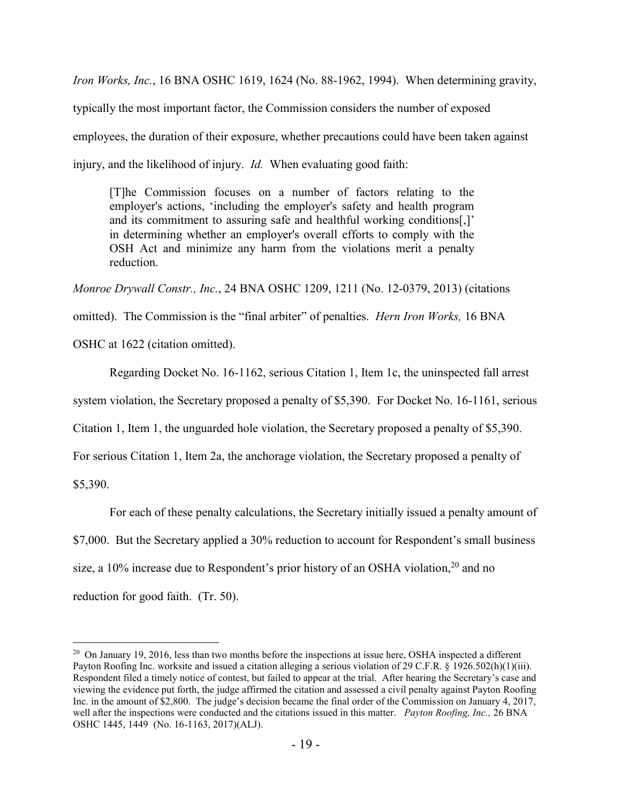*Iron Works, Inc.*, 16 BNA OSHC 1619, 1624 (No. 88-1962, 1994). When determining gravity, typically the most important factor, the Commission considers the number of exposed employees, the duration of their exposure, whether precautions could have been taken against injury, and the likelihood of injury. *Id.* When evaluating good faith:

[T]he Commission focuses on a number of factors relating to the employer's actions, 'including the employer's safety and health program and its commitment to assuring safe and healthful working conditions[,]' in determining whether an employer's overall efforts to comply with the OSH Act and minimize any harm from the violations merit a penalty reduction.

*Monroe Drywall Constr., Inc.*, 24 BNA OSHC 1209, 1211 (No. 12-0379, 2013) (citations omitted). The Commission is the "final arbiter" of penalties. *Hern Iron Works,* 16 BNA OSHC at 1622 (citation omitted).

Regarding Docket No. 16-1162, serious Citation 1, Item 1c, the uninspected fall arrest

system violation, the Secretary proposed a penalty of \$5,390. For Docket No. 16-1161, serious

Citation 1, Item 1, the unguarded hole violation, the Secretary proposed a penalty of \$5,390.

For serious Citation 1, Item 2a, the anchorage violation, the Secretary proposed a penalty of

\$5,390.

 $\overline{a}$ 

For each of these penalty calculations, the Secretary initially issued a penalty amount of \$7,000. But the Secretary applied a 30% reduction to account for Respondent's small business size, a 10% increase due to Respondent's prior history of an OSHA violation,<sup>20</sup> and no reduction for good faith. (Tr. 50).

 $20$  On January 19, 2016, less than two months before the inspections at issue here, OSHA inspected a different Payton Roofing Inc. worksite and issued a citation alleging a serious violation of 29 C.F.R. § 1926.502(h)(1)(iii)*.* Respondent filed a timely notice of contest, but failed to appear at the trial. After hearing the Secretary's case and viewing the evidence put forth, the judge affirmed the citation and assessed a civil penalty against Payton Roofing Inc. in the amount of \$2,800. The judge's decision became the final order of the Commission on January 4, 2017, well after the inspections were conducted and the citations issued in this matter. *Payton Roofing, Inc.,* 26 BNA OSHC 1445, 1449 (No. 16-1163, 2017)(ALJ).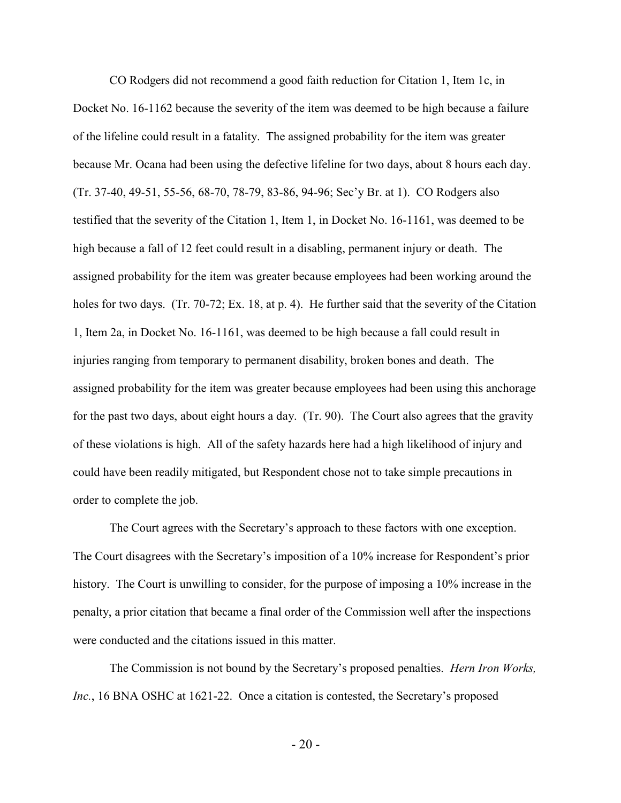CO Rodgers did not recommend a good faith reduction for Citation 1, Item 1c, in Docket No. 16-1162 because the severity of the item was deemed to be high because a failure of the lifeline could result in a fatality. The assigned probability for the item was greater because Mr. Ocana had been using the defective lifeline for two days, about 8 hours each day. (Tr. 37-40, 49-51, 55-56, 68-70, 78-79, 83-86, 94-96; Sec'y Br. at 1). CO Rodgers also testified that the severity of the Citation 1, Item 1, in Docket No. 16-1161, was deemed to be high because a fall of 12 feet could result in a disabling, permanent injury or death. The assigned probability for the item was greater because employees had been working around the holes for two days. (Tr. 70-72; Ex. 18, at p. 4). He further said that the severity of the Citation 1, Item 2a, in Docket No. 16-1161, was deemed to be high because a fall could result in injuries ranging from temporary to permanent disability, broken bones and death. The assigned probability for the item was greater because employees had been using this anchorage for the past two days, about eight hours a day. (Tr. 90). The Court also agrees that the gravity of these violations is high. All of the safety hazards here had a high likelihood of injury and could have been readily mitigated, but Respondent chose not to take simple precautions in order to complete the job.

The Court agrees with the Secretary's approach to these factors with one exception. The Court disagrees with the Secretary's imposition of a 10% increase for Respondent's prior history. The Court is unwilling to consider, for the purpose of imposing a 10% increase in the penalty, a prior citation that became a final order of the Commission well after the inspections were conducted and the citations issued in this matter.

The Commission is not bound by the Secretary's proposed penalties. *Hern Iron Works, Inc.*, 16 BNA OSHC at 1621-22. Once a citation is contested, the Secretary's proposed

 $-20-$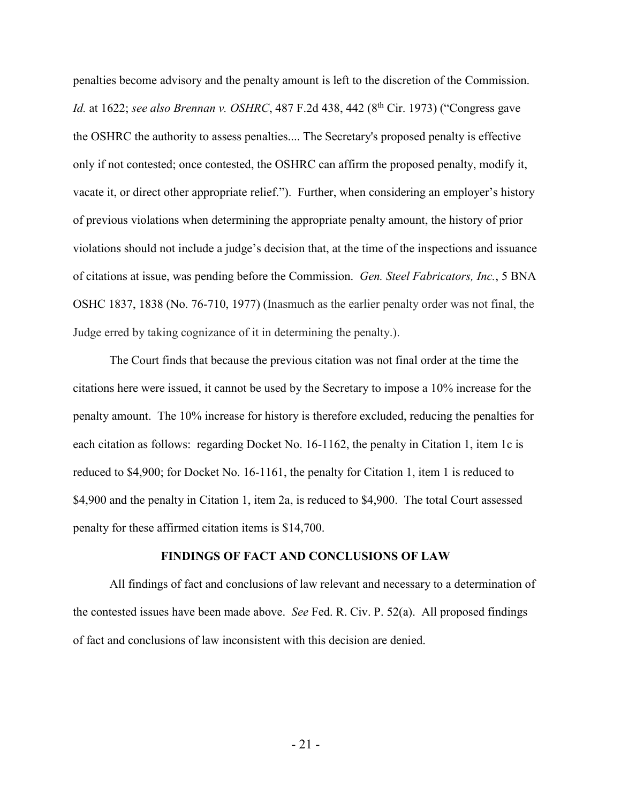penalties become advisory and the penalty amount is left to the discretion of the Commission. *Id.* at 1622; *see also Brennan v. OSHRC*, 487 F.2d 438, 442 (8 th Cir. 1973) ("Congress gave the OSHRC the authority to assess penalties.... The Secretary's proposed penalty is effective only if not contested; once contested, the OSHRC can affirm the proposed penalty, modify it, vacate it, or direct other appropriate relief."). Further, when considering an employer's history of previous violations when determining the appropriate penalty amount, the history of prior violations should not include a judge's decision that, at the time of the inspections and issuance of citations at issue, was pending before the Commission. *Gen. Steel Fabricators, Inc.*, 5 BNA OSHC 1837, 1838 (No. 76-710, 1977) (Inasmuch as the earlier penalty order was not final, the Judge erred by taking cognizance of it in determining the penalty.).

The Court finds that because the previous citation was not final order at the time the citations here were issued, it cannot be used by the Secretary to impose a 10% increase for the penalty amount. The 10% increase for history is therefore excluded, reducing the penalties for each citation as follows: regarding Docket No. 16-1162, the penalty in Citation 1, item 1c is reduced to \$4,900; for Docket No. 16-1161, the penalty for Citation 1, item 1 is reduced to \$4,900 and the penalty in Citation 1, item 2a, is reduced to \$4,900. The total Court assessed penalty for these affirmed citation items is \$14,700.

#### **FINDINGS OF FACT AND CONCLUSIONS OF LAW**

All findings of fact and conclusions of law relevant and necessary to a determination of the contested issues have been made above. *See* Fed. R. Civ. P. 52(a). All proposed findings of fact and conclusions of law inconsistent with this decision are denied.